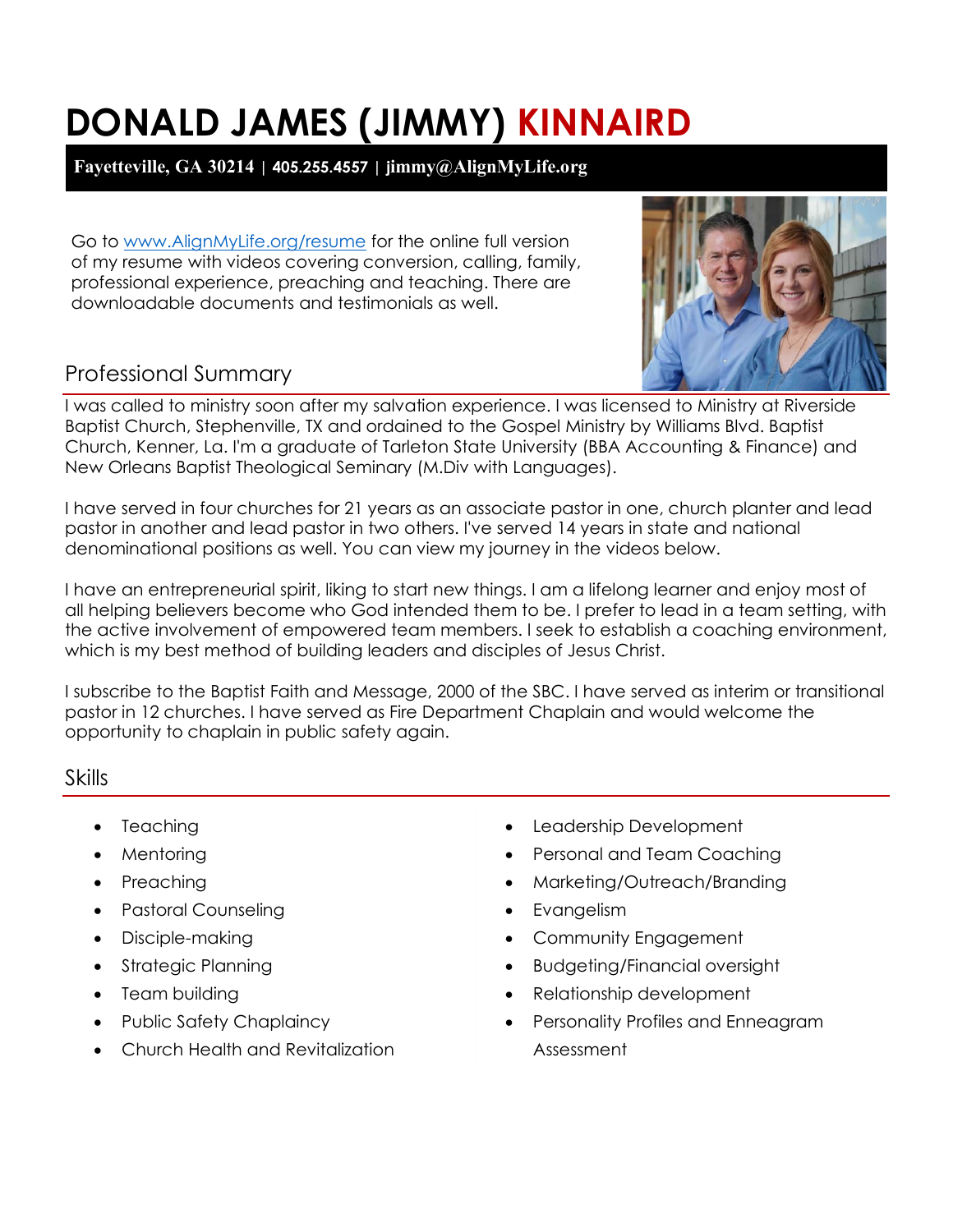# **DONALD JAMES (JIMMY) KINNAIRD**

# **Fayetteville, GA 30214 | 405.255.4557 | jimmy@AlignMyLife.org**

Go to [www.AlignMyLife.org/resume](http://www.alignmylife.org/resume) for the online full version of my resume with videos covering conversion, calling, family, professional experience, preaching and teaching. There are downloadable documents and testimonials as well.



# Professional Summary

I was called to ministry soon after my salvation experience. I was licensed to Ministry at Riverside Baptist Church, Stephenville, TX and ordained to the Gospel Ministry by Williams Blvd. Baptist Church, Kenner, La. I'm a graduate of Tarleton State University (BBA Accounting & Finance) and New Orleans Baptist Theological Seminary (M.Div with Languages).

I have served in four churches for 21 years as an associate pastor in one, church planter and lead pastor in another and lead pastor in two others. I've served 14 years in state and national denominational positions as well. You can view my journey in the videos below.

I have an entrepreneurial spirit, liking to start new things. I am a lifelong learner and enjoy most of all helping believers become who God intended them to be. I prefer to lead in a team setting, with the active involvement of empowered team members. I seek to establish a coaching environment, which is my best method of building leaders and disciples of Jesus Christ.

I subscribe to the Baptist Faith and Message, 2000 of the SBC. I have served as interim or transitional pastor in 12 churches. I have served as Fire Department Chaplain and would welcome the opportunity to chaplain in public safety again.

## Skills

- Teaching
- Mentoring
- Preaching
- Pastoral Counseling
- Disciple-making
- Strategic Planning
- Team building
- Public Safety Chaplaincy
- Church Health and Revitalization
- Leadership Development
- Personal and Team Coaching
- Marketing/Outreach/Branding
- Evangelism
- Community Engagement
- Budgeting/Financial oversight
- Relationship development
- Personality Profiles and Enneagram Assessment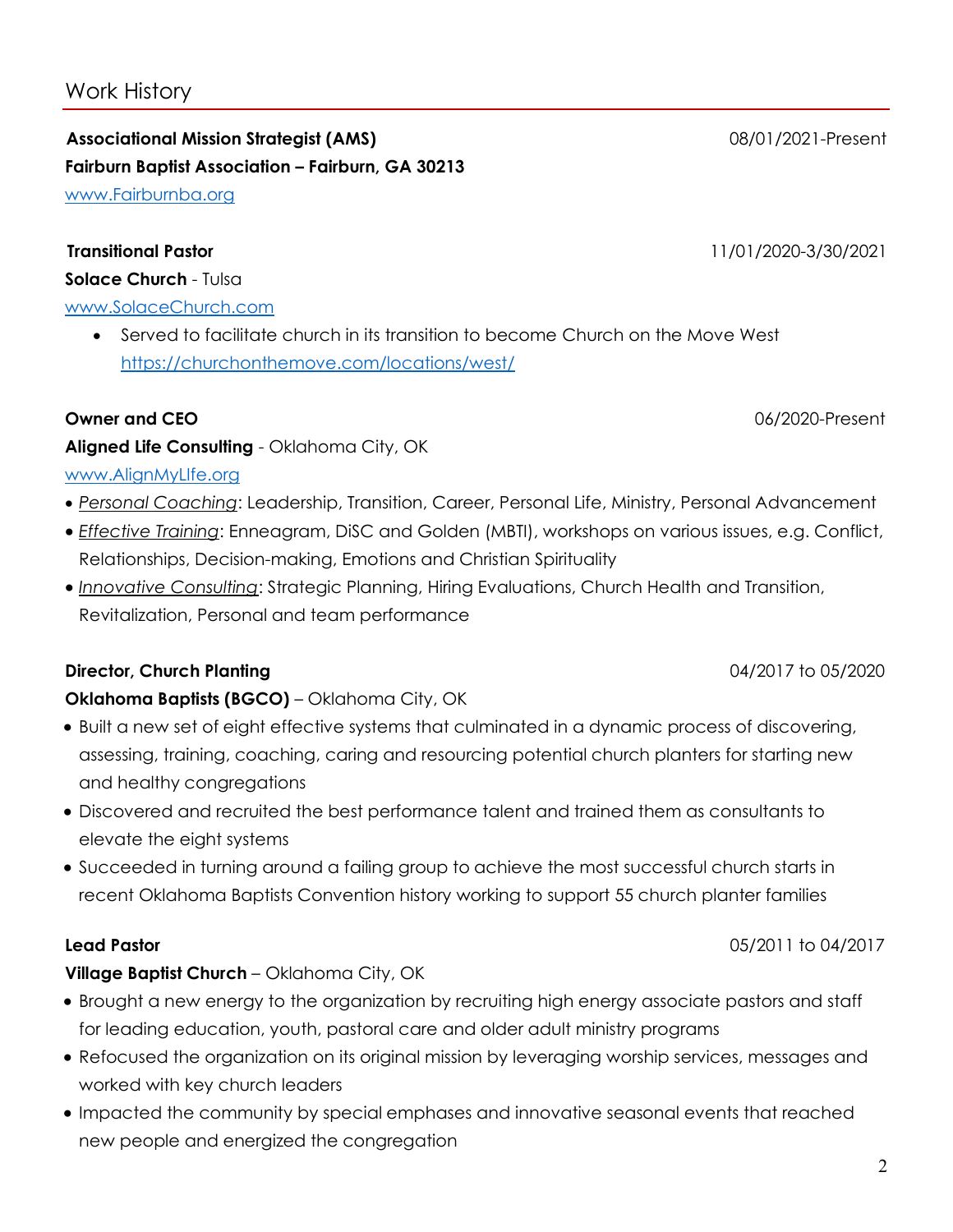# Work History

**Associational Mission Strategist (AMS)** 08/01/2021-Present **Fairburn Baptist Association – Fairburn, GA 30213** [www.Fairburnba.org](http://www.fairburnba.org/)

#### **Transitional Pastor** 11/01/2020-3/30/2021

**Solace Church** - Tulsa

#### [www.SolaceChurch.com](http://www.solacechurch.com/)

• Served to facilitate church in its transition to become Church on the Move West <https://churchonthemove.com/locations/west/>

#### **Owner and CEO** 06/2020-Present

# **Aligned Life Consulting** - Oklahoma City, OK

## [www.AlignMyLIfe.org](http://www.alignmylife.org/)

- *Personal Coaching*: Leadership, Transition, Career, Personal Life, Ministry, Personal Advancement
- *Effective Training*: Enneagram, DiSC and Golden (MBTI), workshops on various issues, e.g. Conflict, Relationships, Decision-making, Emotions and Christian Spirituality
- *Innovative Consulting*: Strategic Planning, Hiring Evaluations, Church Health and Transition, Revitalization, Personal and team performance

# **Director, Church Planting 2018 2020 2020 2020 2020 2031 2032 2033 204/2017 to 05/2020**

# **Oklahoma Baptists (BGCO)** – Oklahoma City, OK

- Built a new set of eight effective systems that culminated in a dynamic process of discovering, assessing, training, coaching, caring and resourcing potential church planters for starting new and healthy congregations
- Discovered and recruited the best performance talent and trained them as consultants to elevate the eight systems
- Succeeded in turning around a failing group to achieve the most successful church starts in recent Oklahoma Baptists Convention history working to support 55 church planter families

# **Village Baptist Church** – Oklahoma City, OK

- Brought a new energy to the organization by recruiting high energy associate pastors and staff for leading education, youth, pastoral care and older adult ministry programs
- Refocused the organization on its original mission by leveraging worship services, messages and worked with key church leaders
- Impacted the community by special emphases and innovative seasonal events that reached new people and energized the congregation

**Lead Pastor** 05/2011 to 04/2017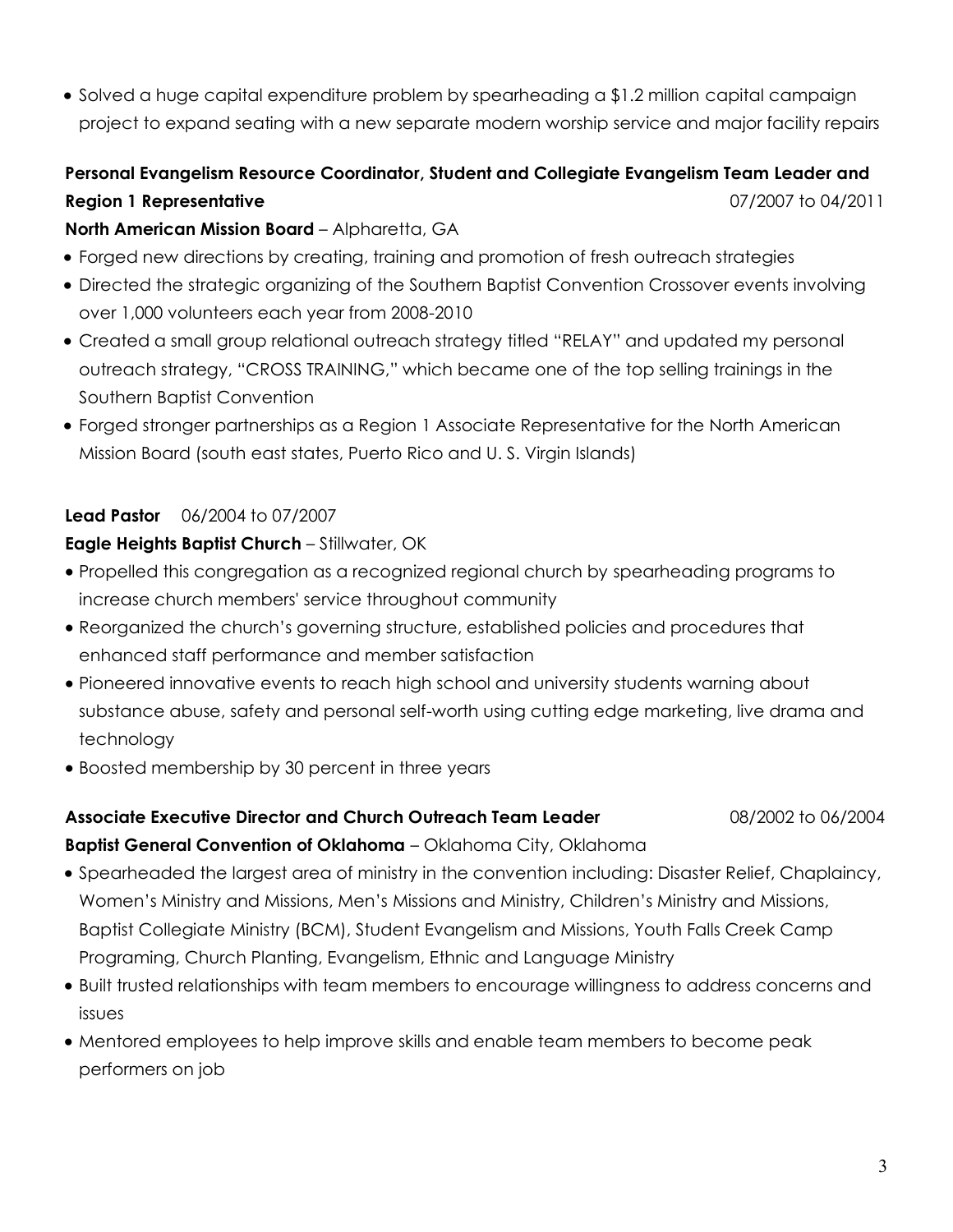• Solved a huge capital expenditure problem by spearheading a \$1.2 million capital campaign project to expand seating with a new separate modern worship service and major facility repairs

# **Personal Evangelism Resource Coordinator, Student and Collegiate Evangelism Team Leader and Region 1 Representative** 07/2007 to 04/2011

### **North American Mission Board** – Alpharetta, GA

- Forged new directions by creating, training and promotion of fresh outreach strategies
- Directed the strategic organizing of the Southern Baptist Convention Crossover events involving over 1,000 volunteers each year from 2008-2010
- Created a small group relational outreach strategy titled "RELAY" and updated my personal outreach strategy, "CROSS TRAINING," which became one of the top selling trainings in the Southern Baptist Convention
- Forged stronger partnerships as a Region 1 Associate Representative for the North American Mission Board (south east states, Puerto Rico and U. S. Virgin Islands)

### **Lead Pastor** 06/2004 to 07/2007

#### **Eagle Heights Baptist Church** – Stillwater, OK

- Propelled this congregation as a recognized regional church by spearheading programs to increase church members' service throughout community
- Reorganized the church's governing structure, established policies and procedures that enhanced staff performance and member satisfaction
- Pioneered innovative events to reach high school and university students warning about substance abuse, safety and personal self-worth using cutting edge marketing, live drama and technology
- Boosted membership by 30 percent in three years

### **Associate Executive Director and Church Outreach Team Leader** 08/2002 to 06/2004 **Baptist General Convention of Oklahoma** – Oklahoma City, Oklahoma

- Spearheaded the largest area of ministry in the convention including: Disaster Relief, Chaplaincy, Women's Ministry and Missions, Men's Missions and Ministry, Children's Ministry and Missions, Baptist Collegiate Ministry (BCM), Student Evangelism and Missions, Youth Falls Creek Camp
- Programing, Church Planting, Evangelism, Ethnic and Language Ministry
- Built trusted relationships with team members to encourage willingness to address concerns and issues
- Mentored employees to help improve skills and enable team members to become peak performers on job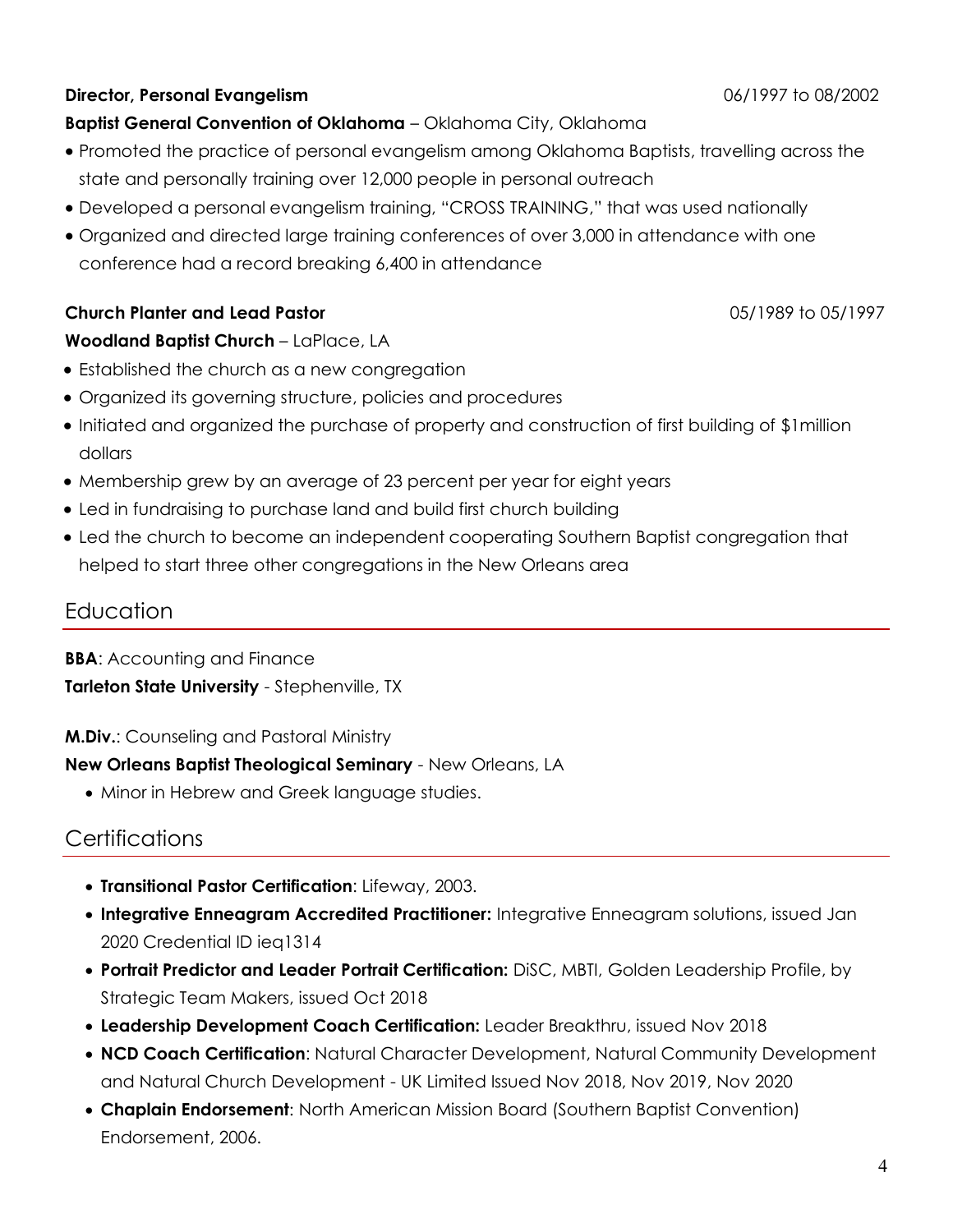#### **Director, Personal Evangelism** 06/1997 to 08/2002

**Baptist General Convention of Oklahoma** – Oklahoma City, Oklahoma

- Promoted the practice of personal evangelism among Oklahoma Baptists, travelling across the state and personally training over 12,000 people in personal outreach
- Developed a personal evangelism training, "CROSS TRAINING," that was used nationally
- Organized and directed large training conferences of over 3,000 in attendance with one conference had a record breaking 6,400 in attendance

#### **Church Planter and Lead Pastor** 05/1989 to 05/1997

### **Woodland Baptist Church** – LaPlace, LA

- Established the church as a new congregation
- Organized its governing structure, policies and procedures
- Initiated and organized the purchase of property and construction of first building of \$1million dollars
- Membership grew by an average of 23 percent per year for eight years
- Led in fundraising to purchase land and build first church building
- Led the church to become an independent cooperating Southern Baptist congregation that helped to start three other congregations in the New Orleans area

# Education

**BBA:** Accounting and Finance **Tarleton State University** - Stephenville, TX

#### **M.Div.**: Counseling and Pastoral Ministry

### **New Orleans Baptist Theological Seminary** - New Orleans, LA

• Minor in Hebrew and Greek language studies.

# **Certifications**

- **Transitional Pastor Certification**: Lifeway, 2003.
- **Integrative Enneagram Accredited Practitioner:** Integrative Enneagram solutions, issued Jan 2020 Credential ID ieq1314
- **Portrait Predictor and Leader Portrait Certification:** DiSC, MBTI, Golden Leadership Profile, by Strategic Team Makers, issued Oct 2018
- **Leadership Development Coach Certification:** Leader Breakthru, issued Nov 2018
- **NCD Coach Certification**: Natural Character Development, Natural Community Development and Natural Church Development - UK Limited Issued Nov 2018, Nov 2019, Nov 2020
- **Chaplain Endorsement**: North American Mission Board (Southern Baptist Convention) Endorsement, 2006.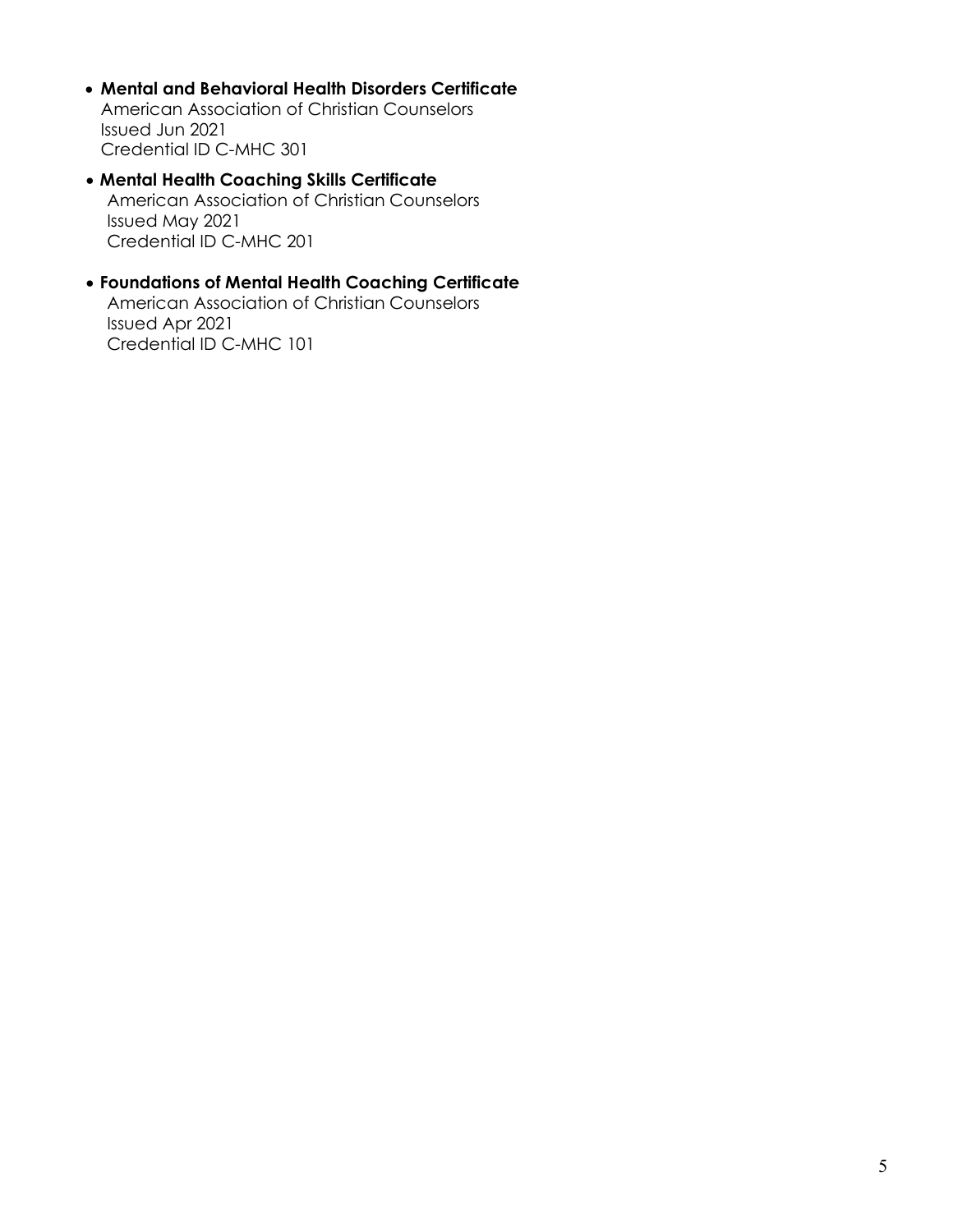- **Mental and Behavioral Health Disorders Certificate** American Association of Christian Counselors Issued Jun 2021 Credential ID C-MHC 301
- **Mental Health Coaching Skills Certificate** American Association of Christian Counselors Issued May 2021 Credential ID C-MHC 201
- **Foundations of Mental Health Coaching Certificate** American Association of Christian Counselors Issued Apr 2021 Credential ID C-MHC 101